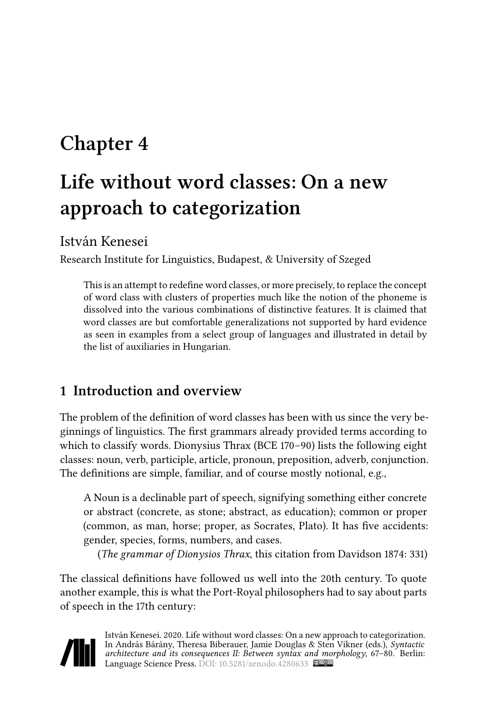# **Chapter 4**

# **Life without word classes: On a new approach to categorization**

István Kenesei

Research Institute for Linguistics, Budapest, & University of Szeged

This is an attempt to redefine word classes, or more precisely, to replace the concept of word class with clusters of properties much like the notion of the phoneme is dissolved into the various combinations of distinctive features. It is claimed that word classes are but comfortable generalizations not supported by hard evidence as seen in examples from a select group of languages and illustrated in detail by the list of auxiliaries in Hungarian.

## **1 Introduction and overview**

The problem of the definition of word classes has been with us since the very beginnings of linguistics. The first grammars already provided terms according to which to classify words. Dionysius Thrax (BCE 170–90) lists the following eight classes: noun, verb, participle, article, pronoun, preposition, adverb, conjunction. The definitions are simple, familiar, and of course mostly notional, e.g.,

A Noun is a declinable part of speech, signifying something either concrete or abstract (concrete, as stone; abstract, as education); common or proper (common, as man, horse; proper, as Socrates, Plato). It has five accidents: gender, species, forms, numbers, and cases.

(*The grammar of Dionysios Thrax*, this citation from [Davidson 1874](#page-12-0): 331)

The classical definitions have followed us well into the 20th century. To quote another example, this is what the Port-Royal philosophers had to say about parts of speech in the 17th century:

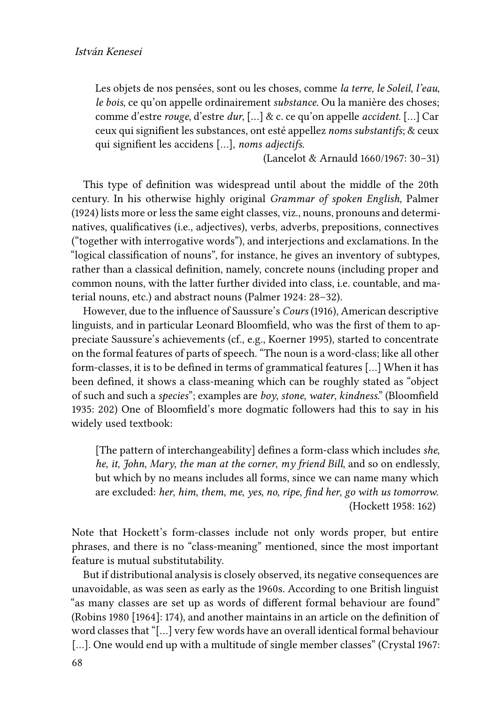Les objets de nos pensées, sont ou les choses, comme *la terre*, *le Soleil*, *l'eau*, *le bois*, ce qu'on appelle ordinairement *substance*. Ou la manière des choses; comme d'estre *rouge*, d'estre *dur*, […] & c. ce qu'on appelle *accident*. […] Car ceux qui signifient les substances, ont esté appellez *noms substantifs*; & ceux qui signifient les accidens […], *noms adjectifs*.

([Lancelot & Arnauld 1660/1967](#page-13-0): 30–31)

This type of definition was widespread until about the middle of the 20th century. In his otherwise highly original *Grammar of spoken English*, [Palmer](#page-13-1) [\(1924\)](#page-13-1) lists more or less the same eight classes, viz., nouns, pronouns and determinatives, qualificatives (i.e., adjectives), verbs, adverbs, prepositions, connectives ("together with interrogative words"), and interjections and exclamations. In the "logical classification of nouns", for instance, he gives an inventory of subtypes, rather than a classical definition, namely, concrete nouns (including proper and common nouns, with the latter further divided into class, i.e. countable, and material nouns, etc.) and abstract nouns([Palmer 1924](#page-13-1): 28–32).

However, due to the influence of Saussure's *Cours* [\(1916\)](#page-13-2), American descriptive linguists, and in particular Leonard Bloomfield, who was the first of them to appreciate Saussure's achievements (cf., e.g., [Koerner 1995\)](#page-13-3), started to concentrate on the formal features of parts of speech. "The noun is a word-class; like all other form-classes, it is to be defined in terms of grammatical features […] When it has been defined, it shows a class-meaning which can be roughly stated as "object of such and such a *species*"; examples are *boy*, *stone*, *water*, *kindness*." [\(Bloomfield](#page-11-0) [1935:](#page-11-0) 202) One of Bloomfield's more dogmatic followers had this to say in his widely used textbook:

[The pattern of interchangeability] defines a form-class which includes *she*, *he*, *it*, *John*, *Mary*, *the man at the corner*, *my friend Bill*, and so on endlessly, but which by no means includes all forms, since we can name many which are excluded: *her*, *him*, *them*, *me*, *yes*, *no*, *ripe*, *find her*, *go with us tomorrow*. ([Hockett 1958](#page-12-1): 162)

Note that Hockett's form-classes include not only words proper, but entire phrases, and there is no "class-meaning" mentioned, since the most important feature is mutual substitutability.

But if distributional analysis is closely observed, its negative consequences are unavoidable, as was seen as early as the 1960s. According to one British linguist "as many classes are set up as words of different formal behaviour are found" [\(Robins 1980 \[1964\]](#page-13-4): 174), and another maintains in an article on the definition of word classes that "[…] very few words have an overall identical formal behaviour [...].One would end up with a multitude of single member classes" ([Crystal 1967](#page-12-2): 68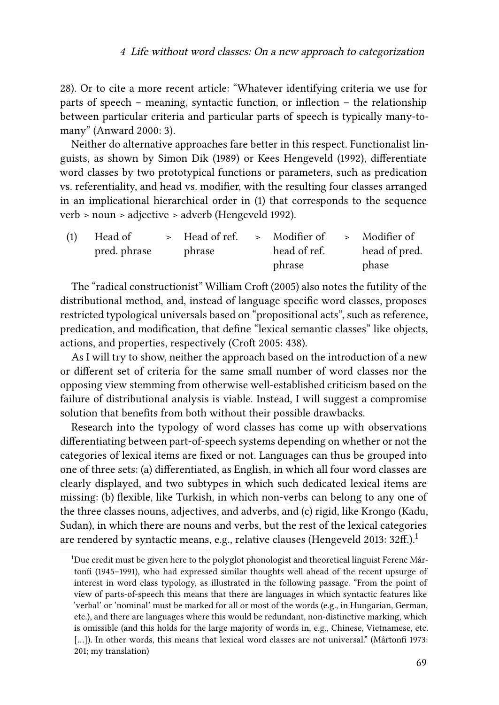28). Or to cite a more recent article: "Whatever identifying criteria we use for parts of speech – meaning, syntactic function, or inflection – the relationship between particular criteria and particular parts of speech is typically many-tomany" [\(Anward 2000](#page-11-1): 3).

Neither do alternative approaches fare better in this respect. Functionalist linguists, as shown by Simon [Dik \(1989\)](#page-12-3) or Kees [Hengeveld \(1992\),](#page-12-4) differentiate word classes by two prototypical functions or parameters, such as predication vs. referentiality, and head vs. modifier, with the resulting four classes arranged in an implicational hierarchical order in [\(1](#page-2-0)) that corresponds to the sequence verb > noun > adjective > adverb([Hengeveld 1992\)](#page-12-4).

<span id="page-2-0"></span>

| (1) | Head of      | > Head of ref. > Modifier of > Modifier of |              |               |
|-----|--------------|--------------------------------------------|--------------|---------------|
|     | pred. phrase | phrase                                     | head of ref. | head of pred. |
|     |              |                                            | phrase       | phase         |

The "radical constructionist" William [Croft \(2005\)](#page-12-5) also notes the futility of the distributional method, and, instead of language specific word classes, proposes restricted typological universals based on "propositional acts", such as reference, predication, and modification, that define "lexical semantic classes" like objects, actions, and properties, respectively [\(Croft 2005:](#page-12-5) 438).

As I will try to show, neither the approach based on the introduction of a new or different set of criteria for the same small number of word classes nor the opposing view stemming from otherwise well-established criticism based on the failure of distributional analysis is viable. Instead, I will suggest a compromise solution that benefits from both without their possible drawbacks.

Research into the typology of word classes has come up with observations differentiating between part-of-speech systems depending on whether or not the categories of lexical items are fixed or not. Languages can thus be grouped into one of three sets: (a) differentiated, as English, in which all four word classes are clearly displayed, and two subtypes in which such dedicated lexical items are missing: (b) flexible, like Turkish, in which non-verbs can belong to any one of the three classes nouns, adjectives, and adverbs, and (c) rigid, like Krongo (Kadu, Sudan), in which there are nouns and verbs, but the rest of the lexical categories are rendered by syntactic means, e.g., relative clauses [\(Hengeveld 2013:](#page-12-6) 32ff.).<sup>1</sup>

<sup>&</sup>lt;sup>1</sup>Due credit must be given here to the polyglot phonologist and theoretical linguist Ferenc Mártonfi (1945–1991), who had expressed similar thoughts well ahead of the recent upsurge of interest in word class typology, as illustrated in the following passage. "From the point of view of parts-of-speech this means that there are languages in which syntactic features like 'verbal' or 'nominal' must be marked for all or most of the words (e.g., in Hungarian, German, etc.), and there are languages where this would be redundant, non-distinctive marking, which is omissible (and this holds for the large majority of words in, e.g., Chinese, Vietnamese, etc. [...]).In other words, this means that lexical word classes are not universal." ([Mártonfi 1973](#page-13-5): 201; my translation)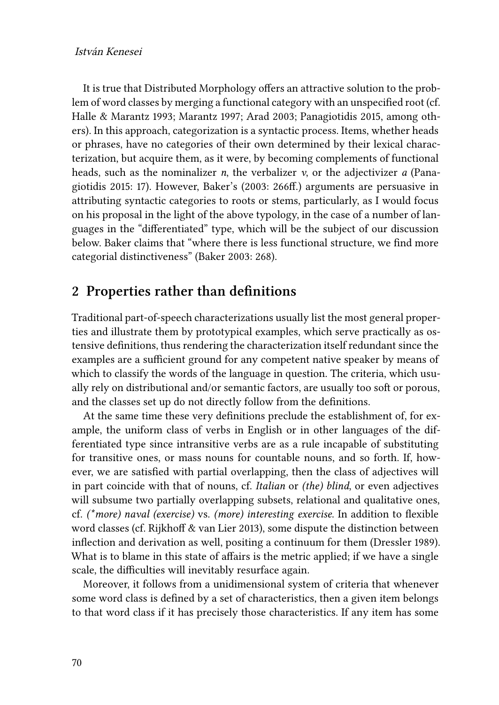## István Kenesei

It is true that Distributed Morphology offers an attractive solution to the problem of word classes by merging a functional category with an unspecified root (cf. [Halle & Marantz 1993;](#page-12-7) [Marantz 1997](#page-13-6); [Arad 2003](#page-11-2); [Panagiotidis 2015,](#page-13-7) among others). In this approach, categorization is a syntactic process. Items, whether heads or phrases, have no categories of their own determined by their lexical characterization, but acquire them, as it were, by becoming complements of functional heads, such as the nominalizer *n*, the verbalizer *v*, or the adjectivizer *a* [\(Pana](#page-13-7)[giotidis 2015:](#page-13-7) 17). However, [Baker](#page-11-3)'s (2003: 266ff.) arguments are persuasive in attributing syntactic categories to roots or stems, particularly, as I would focus on his proposal in the light of the above typology, in the case of a number of languages in the "differentiated" type, which will be the subject of our discussion below. Baker claims that "where there is less functional structure, we find more categorial distinctiveness"([Baker 2003](#page-11-3): 268).

## **2 Properties rather than definitions**

Traditional part-of-speech characterizations usually list the most general properties and illustrate them by prototypical examples, which serve practically as ostensive definitions, thus rendering the characterization itself redundant since the examples are a sufficient ground for any competent native speaker by means of which to classify the words of the language in question. The criteria, which usually rely on distributional and/or semantic factors, are usually too soft or porous, and the classes set up do not directly follow from the definitions.

At the same time these very definitions preclude the establishment of, for example, the uniform class of verbs in English or in other languages of the differentiated type since intransitive verbs are as a rule incapable of substituting for transitive ones, or mass nouns for countable nouns, and so forth. If, however, we are satisfied with partial overlapping, then the class of adjectives will in part coincide with that of nouns, cf. *Italian* or *(the) blind*, or even adjectives will subsume two partially overlapping subsets, relational and qualitative ones, cf. *(\*more) naval (exercise)* vs. *(more) interesting exercise*. In addition to flexible word classes (cf. [Rijkhoff & van Lier 2013](#page-13-8)), some dispute the distinction between inflection and derivation as well, positing a continuum for them([Dressler 1989\)](#page-12-8). What is to blame in this state of affairs is the metric applied; if we have a single scale, the difficulties will inevitably resurface again.

Moreover, it follows from a unidimensional system of criteria that whenever some word class is defined by a set of characteristics, then a given item belongs to that word class if it has precisely those characteristics. If any item has some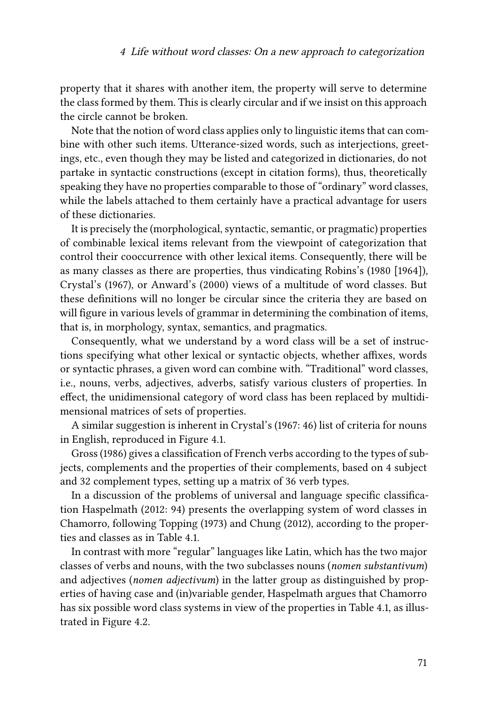property that it shares with another item, the property will serve to determine the class formed by them. This is clearly circular and if we insist on this approach the circle cannot be broken.

Note that the notion of word class applies only to linguistic items that can combine with other such items. Utterance-sized words, such as interjections, greetings, etc., even though they may be listed and categorized in dictionaries, do not partake in syntactic constructions (except in citation forms), thus, theoretically speaking they have no properties comparable to those of "ordinary" word classes, while the labels attached to them certainly have a practical advantage for users of these dictionaries.

It is precisely the (morphological, syntactic, semantic, or pragmatic) properties of combinable lexical items relevant from the viewpoint of categorization that control their cooccurrence with other lexical items. Consequently, there will be as many classes as there are properties, thus vindicating [Robins](#page-13-4)'s (1980 [1964]), [Crystal'](#page-12-2)s (1967), or [Anward](#page-11-1)'s (2000) views of a multitude of word classes. But these definitions will no longer be circular since the criteria they are based on will figure in various levels of grammar in determining the combination of items, that is, in morphology, syntax, semantics, and pragmatics.

Consequently, what we understand by a word class will be a set of instructions specifying what other lexical or syntactic objects, whether affixes, words or syntactic phrases, a given word can combine with. "Traditional" word classes, i.e., nouns, verbs, adjectives, adverbs, satisfy various clusters of properties. In effect, the unidimensional category of word class has been replaced by multidimensional matrices of sets of properties.

A similar suggestion is inherent in [Crystal'](#page-12-2)s [\(1967](#page-12-2): 46) list of criteria for nouns in English, reproduced in Figure [4.1.](#page-5-0)

[Gross \(1986\)](#page-12-9) gives a classification of French verbs according to the types of subjects, complements and the properties of their complements, based on 4 subject and 32 complement types, setting up a matrix of 36 verb types.

In a discussion of the problems of universal and language specific classification [Haspelmath \(2012](#page-12-10): 94) presents the overlapping system of word classes in Chamorro, following [Topping \(1973\)](#page-13-9) and [Chung \(2012\)](#page-11-4), according to the properties and classes as in Table [4.1](#page-5-1).

In contrast with more "regular" languages like Latin, which has the two major classes of verbs and nouns, with the two subclasses nouns (*nomen substantivum*) and adjectives (*nomen adjectivum*) in the latter group as distinguished by properties of having case and (in)variable gender, Haspelmath argues that Chamorro has six possible word class systems in view of the properties in Table [4.1](#page-5-1), as illustrated in Figure [4.2.](#page-6-0)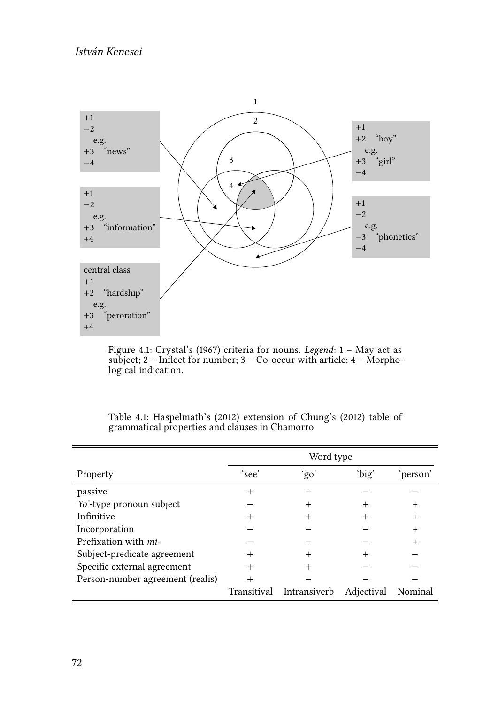<span id="page-5-0"></span>

Figure 4.1: [Crystal'](#page-12-2)s (1967) criteria for nouns. *Legend*: 1 – May act as subject; 2 – Inflect for number; 3 – Co-occur with article; 4 – Morphological indication.

<span id="page-5-1"></span>

|                                  | Word type |                          |            |           |  |  |  |
|----------------------------------|-----------|--------------------------|------------|-----------|--|--|--|
| Property                         | 'see'     | 'go'                     | 'big'      | person    |  |  |  |
| passive                          |           |                          |            |           |  |  |  |
| Yo'-type pronoun subject         |           | $^+$                     |            | $^+$      |  |  |  |
| Infinitive                       |           | $^+$                     |            | $\ddot{}$ |  |  |  |
| Incorporation                    |           |                          |            | +         |  |  |  |
| Prefixation with <i>mi</i> -     |           |                          |            |           |  |  |  |
| Subject-predicate agreement      |           |                          |            |           |  |  |  |
| Specific external agreement      |           |                          |            |           |  |  |  |
| Person-number agreement (realis) |           |                          |            |           |  |  |  |
|                                  |           | Transitival Intransiverb | Adjectival | Nominal   |  |  |  |

Table 4.1: [Haspelmath'](#page-12-10)s (2012) extension of [Chung](#page-11-4)'s (2012) table of grammatical properties and clauses in Chamorro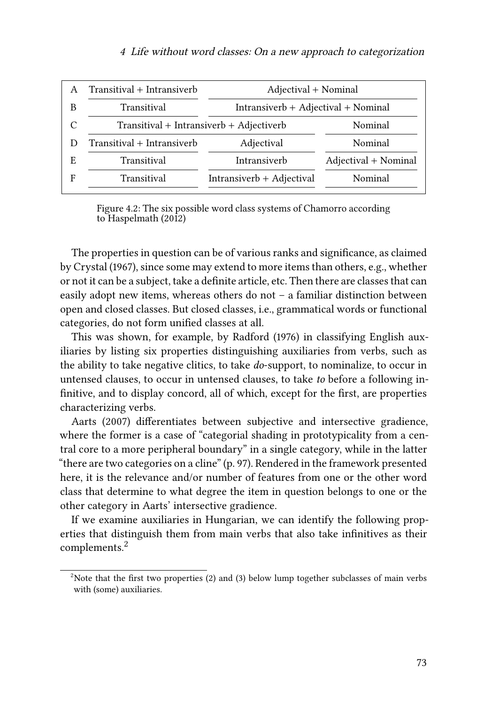#### <sup>4</sup> Life without word classes: On <sup>a</sup> new approach to categorization

<span id="page-6-0"></span>

|    | Transitival + Intransiverb               | Adjectival + Nominal                  |                      |  |  |  |
|----|------------------------------------------|---------------------------------------|----------------------|--|--|--|
|    | Transitival                              | $Intransiverb + Adjectival + Nominal$ |                      |  |  |  |
| C  | Transitival + Intransiverb + Adjectiverb | Nominal                               |                      |  |  |  |
|    | Transitival + Intransiverb               | Nominal                               |                      |  |  |  |
| E. | Transitival                              | Intransiverb                          | Adjectival + Nominal |  |  |  |
|    | Transitival                              | Intransiverb + Adjectival             | Nominal              |  |  |  |
|    |                                          |                                       |                      |  |  |  |

Figure 4.2: The six possible word class systems of Chamorro according to [Haspelmath \(2012\)](#page-12-10)

The properties in question can be of various ranks and significance, as claimed by [Crystal \(1967\)](#page-12-2), since some may extend to more items than others, e.g., whether or not it can be a subject, take a definite article, etc. Then there are classes that can easily adopt new items, whereas others do not – a familiar distinction between open and closed classes. But closed classes, i.e., grammatical words or functional categories, do not form unified classes at all.

This was shown, for example, by [Radford \(1976\)](#page-13-10) in classifying English auxiliaries by listing six properties distinguishing auxiliaries from verbs, such as the ability to take negative clitics, to take *do*-support, to nominalize, to occur in untensed clauses, to occur in untensed clauses, to take *to* before a following infinitive, and to display concord, all of which, except for the first, are properties characterizing verbs.

[Aarts \(2007\)](#page-11-5) differentiates between subjective and intersective gradience, where the former is a case of "categorial shading in prototypicality from a central core to a more peripheral boundary" in a single category, while in the latter "there are two categories on a cline" (p. 97). Rendered in the framework presented here, it is the relevance and/or number of features from one or the other word class that determine to what degree the item in question belongs to one or the other category in Aarts' intersective gradience.

If we examine auxiliaries in Hungarian, we can identify the following properties that distinguish them from main verbs that also take infinitives as their complements.<sup>2</sup>

<sup>&</sup>lt;sup>2</sup>Notethat the first two properties ([2\)](#page-6-0) and [\(3\)](#page-7-0) below lump together subclasses of main verbs with (some) auxiliaries.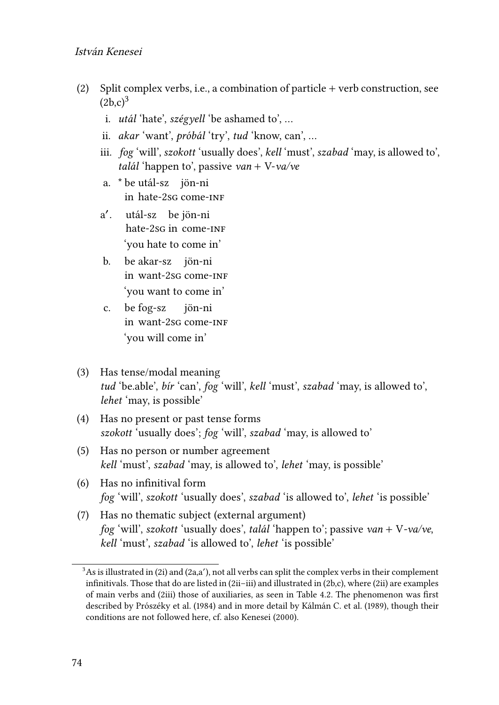## István Kenesei

- (2) Split complex verbs, i.e., a combination of particle + verb construction, see  $(2b.c)<sup>3</sup>$  $(2b.c)<sup>3</sup>$  $(2b.c)<sup>3</sup>$ 
	- i. *utál* 'hate', *szégyell* 'be ashamed to', …
	- ii. *akar* 'want', *próbál* 'try', *tud* 'know, can', …
	- iii. *fog* 'will', *szokott* 'usually does', *kell* 'must', *szabad* 'may, is allowed to', *talál* 'happen to', passive *van* + V-*va/ve*
	- a. \* be utál-sz jön-ni in hate-2sg come-inf
	- a ′ . utál-sz be jön-ni hate-2sg in come-inf 'you hate to come in'
	- b. be akar-sz jön-ni in want-2sg come-inf 'you want to come in'
	- c. in want-2sg come-inf fog-sz jön-ni 'you will come in'
- <span id="page-7-0"></span>(3) Has tense/modal meaning *tud* 'be.able', *bír* 'can', *fog* 'will', *kell* 'must', *szabad* 'may, is allowed to', *lehet* 'may, is possible'
- (4) Has no present or past tense forms *szokott* 'usually does'; *fog* 'will', *szabad* 'may, is allowed to'
- (5) Has no person or number agreement *kell* 'must', *szabad* 'may, is allowed to', *lehet* 'may, is possible'
- (6) Has no infinitival form *fog* 'will', *szokott* 'usually does', *szabad* 'is allowed to', *lehet* 'is possible'
- <span id="page-7-1"></span>(7) Has no thematic subject (external argument) *fog* 'will', *szokott* 'usually does', *talál* 'happen to'; passive *van* + V*-va/ve*, *kell* 'must', *szabad* 'is allowed to', *lehet* 'is possible'

 $3$ As is illustrated in [\(2i](#page-6-0)) and [\(2a](#page-6-0),a'), not all verbs can split the complex verbs in their complement infinitivals. Those that do are listed in [\(2i](#page-6-0)i–iii) and illustrated in [\(2](#page-6-0)b,c), where [\(2](#page-6-0)ii) are examples of main verbs and [\(2i](#page-6-0)ii) those of auxiliaries, as seen in Table [4.2.](#page-9-0) The phenomenon was first described by [Prószéky et al. \(1984\)](#page-13-11) and in more detail by [Kálmán C. et al. \(1989\),](#page-12-11) though their conditions are not followed here, cf. also [Kenesei \(2000\).](#page-12-12)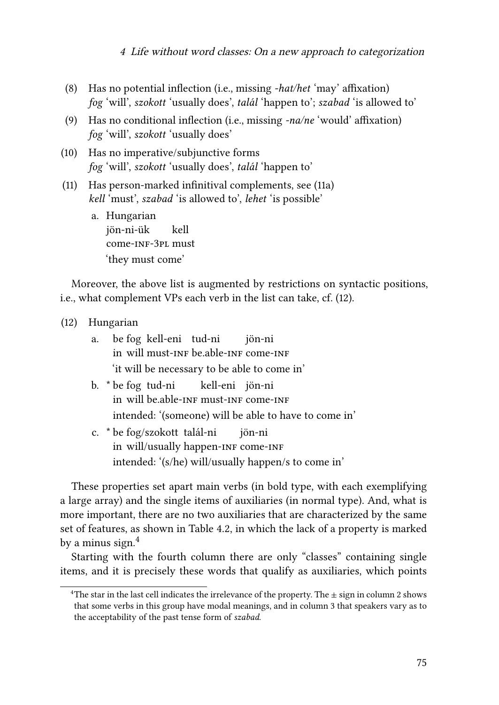#### <sup>4</sup> Life without word classes: On <sup>a</sup> new approach to categorization

- (8) Has no potential inflection (i.e., missing *-hat/het* 'may' affixation) *fog* 'will', *szokott* 'usually does', *talál* 'happen to'; *szabad* 'is allowed to'
- (9) Has no conditional inflection (i.e., missing *-na/ne* 'would' affixation) *fog* 'will', *szokott* 'usually does'
- (10) Has no imperative/subjunctive forms *fog* 'will', *szokott* 'usually does', *talál* 'happen to'
- <span id="page-8-0"></span>(11) Has person-marked infinitival complements, see([11a](#page-8-0)) *kell* 'must', *szabad* 'is allowed to', *lehet* 'is possible'
	- a. Hungarian jön-ni-ük come-inf-3pl must kell 'they must come'

Moreover, the above list is augmented by restrictions on syntactic positions, i.e., what complement VPs each verb in the list can take, cf.([12\)](#page-8-1).

- <span id="page-8-1"></span>(12) Hungarian
	- a. be fog kell-eni tud-ni in will must-inf be.able-inf come-inf jön-ni 'it will be necessary to be able to come in'
	- b. \* be fog tud-ni in will be able-INF must-INF come-INF kell-eni jön-ni intended: '(someone) will be able to have to come in'
	- c. \* be fog/szokott talál-ni in will/usually happen-INF come-INF jön-ni intended: '(s/he) will/usually happen/s to come in'

These properties set apart main verbs (in bold type, with each exemplifying a large array) and the single items of auxiliaries (in normal type). And, what is more important, there are no two auxiliaries that are characterized by the same set of features, as shown in Table [4.2](#page-9-0), in which the lack of a property is marked by a minus sign.<sup>4</sup>

Starting with the fourth column there are only "classes" containing single items, and it is precisely these words that qualify as auxiliaries, which points

<sup>&</sup>lt;sup>4</sup>The star in the last cell indicates the irrelevance of the property. The  $\pm$  sign in column 2 shows that some verbs in this group have modal meanings, and in column 3 that speakers vary as to the acceptability of the past tense form of *szabad*.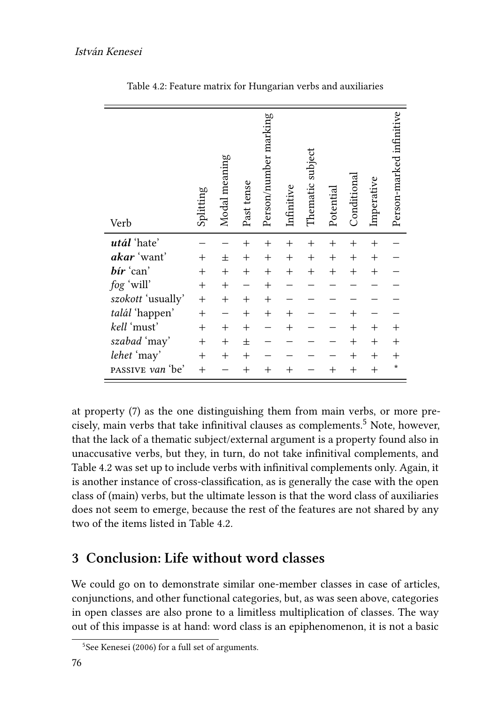<span id="page-9-0"></span>

| Verb              | Splitting          | Modal meaning | Past tense | Person/number marking | Infinitive | Thematic subject   | Potential        | Conditional      | Imperative     | Person-marked infinitive |
|-------------------|--------------------|---------------|------------|-----------------------|------------|--------------------|------------------|------------------|----------------|--------------------------|
| utál 'hate'       |                    |               | $^{+}$     | $^{+}$                | $^{+}$     | $^{+}$             | $^{+}$           | $^{+}$           | $^{+}$         |                          |
| akar 'want'       | $^{+}$             | 士             | $^{+}$     | $^{+}$                | $^{+}$     | $^{+}$             | $^{+}$           | $^{+}$           | $^{+}$         |                          |
| bír 'can'         | $\hspace{0.1mm} +$ | $^{+}$        | $^{+}$     | $^{+}$                | $^{+}$     | $\hspace{0.1mm} +$ | $\boldsymbol{+}$ | $^{+}$           | $^{+}$         |                          |
| fog 'will'        | $^{+}$             | $^{+}$        |            | $^{+}$                |            |                    |                  |                  |                |                          |
| szokott 'usually' | $^{+}$             | $^{+}$        | $^{+}$     | $^{+}$                |            |                    |                  |                  |                |                          |
| talál 'happen'    | $^{+}$             |               | $^{+}$     | $^{+}$                | $^{+}$     |                    |                  | $^{+}$           |                |                          |
| kell 'must'       | $^{+}$             | $^{+}$        | $^{+}$     |                       | $^{+}$     |                    |                  | $\overline{+}$   | $^{+}$         |                          |
| szabad 'may'      | $\hspace{0.1mm} +$ | $^{+}$        | 士          |                       |            |                    |                  | $\boldsymbol{+}$ | $^{+}$         | $^{+}$                   |
| lehet 'may'       | $^{+}$             | $^{+}$        | $^{+}$     |                       |            |                    |                  | $^{+}$           | $^{+}$         |                          |
| passive van 'be'  | $^{+}$             |               | $^{+}$     | $^{+}$                |            |                    |                  | $^{+}$           | $\overline{+}$ | $\star$                  |

Table 4.2: Feature matrix for Hungarian verbs and auxiliaries

at property([7\)](#page-7-1) as the one distinguishing them from main verbs, or more precisely, main verbs that take infinitival clauses as complements.<sup>5</sup> Note, however, that the lack of a thematic subject/external argument is a property found also in unaccusative verbs, but they, in turn, do not take infinitival complements, and Table [4.2](#page-9-0) was set up to include verbs with infinitival complements only. Again, it is another instance of cross-classification, as is generally the case with the open class of (main) verbs, but the ultimate lesson is that the word class of auxiliaries does not seem to emerge, because the rest of the features are not shared by any two of the items listed in Table [4.2.](#page-9-0)

# **3 Conclusion: Life without word classes**

We could go on to demonstrate similar one-member classes in case of articles, conjunctions, and other functional categories, but, as was seen above, categories in open classes are also prone to a limitless multiplication of classes. The way out of this impasse is at hand: word class is an epiphenomenon, it is not a basic

<sup>5</sup> See [Kenesei \(2006\)](#page-13-12) for a full set of arguments.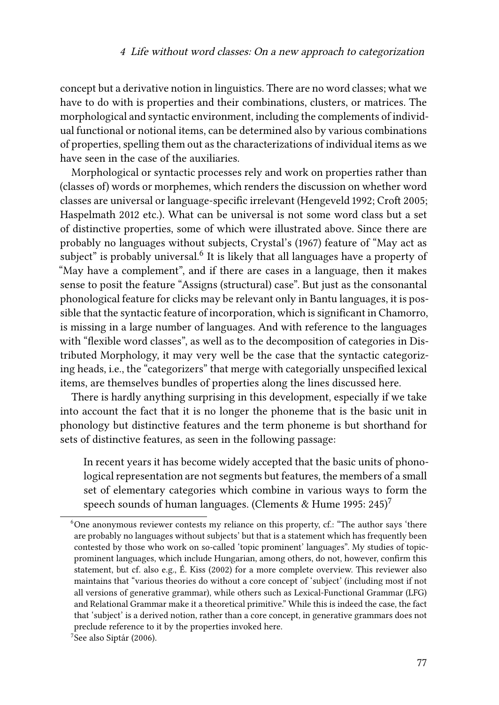concept but a derivative notion in linguistics. There are no word classes; what we have to do with is properties and their combinations, clusters, or matrices. The morphological and syntactic environment, including the complements of individual functional or notional items, can be determined also by various combinations of properties, spelling them out as the characterizations of individual items as we have seen in the case of the auxiliaries.

Morphological or syntactic processes rely and work on properties rather than (classes of) words or morphemes, which renders the discussion on whether word classes are universal or language-specific irrelevant [\(Hengeveld 1992;](#page-12-4) [Croft 2005;](#page-12-5) [Haspelmath 2012](#page-12-10) etc.). What can be universal is not some word class but a set of distinctive properties, some of which were illustrated above. Since there are probably no languages without subjects, [Crystal'](#page-12-2)s (1967) feature of "May act as subject" is probably universal. $^6$  It is likely that all languages have a property of "May have a complement", and if there are cases in a language, then it makes sense to posit the feature "Assigns (structural) case". But just as the consonantal phonological feature for clicks may be relevant only in Bantu languages, it is possible that the syntactic feature of incorporation, which is significant in Chamorro, is missing in a large number of languages. And with reference to the languages with "flexible word classes", as well as to the decomposition of categories in Distributed Morphology, it may very well be the case that the syntactic categorizing heads, i.e., the "categorizers" that merge with categorially unspecified lexical items, are themselves bundles of properties along the lines discussed here.

There is hardly anything surprising in this development, especially if we take into account the fact that it is no longer the phoneme that is the basic unit in phonology but distinctive features and the term phoneme is but shorthand for sets of distinctive features, as seen in the following passage:

In recent years it has become widely accepted that the basic units of phonological representation are not segments but features, the members of a small set of elementary categories which combine in various ways to form the speech sounds of human languages. [\(Clements & Hume 1995:](#page-12-13) 245)<sup>7</sup>

 $6$ One anonymous reviewer contests my reliance on this property, cf.: "The author says 'there are probably no languages without subjects' but that is a statement which has frequently been contested by those who work on so-called 'topic prominent' languages". My studies of topicprominent languages, which include Hungarian, among others, do not, however, confirm this statement, but cf. also e.g., [É. Kiss \(2002\)](#page-12-14) for a more complete overview. This reviewer also maintains that "various theories do without a core concept of 'subject' (including most if not all versions of generative grammar), while others such as Lexical-Functional Grammar (LFG) and Relational Grammar make it a theoretical primitive." While this is indeed the case, the fact that 'subject' is a derived notion, rather than a core concept, in generative grammars does not preclude reference to it by the properties invoked here.

<sup>&</sup>lt;sup>7</sup>See also [Siptár \(2006\).](#page-13-13)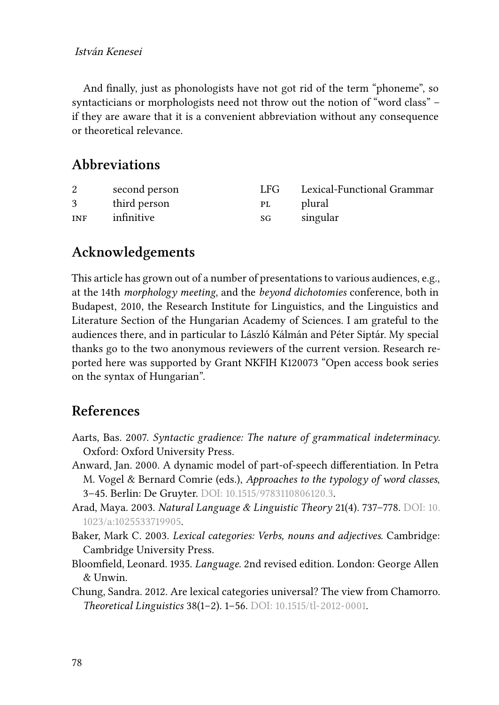And finally, just as phonologists have not got rid of the term "phoneme", so syntacticians or morphologists need not throw out the notion of "word class" – if they are aware that it is a convenient abbreviation without any consequence or theoretical relevance.

## **Abbreviations**

|            | second person | LFG. | Lexical-Functional Grammar |
|------------|---------------|------|----------------------------|
| 3          | third person  | PL   | plural                     |
| <b>INF</b> | infinitive    | SG   | singular                   |

## **Acknowledgements**

This article has grown out of a number of presentations to various audiences, e.g., at the 14th *morphology meeting*, and the *beyond dichotomies* conference, both in Budapest, 2010, the Research Institute for Linguistics, and the Linguistics and Literature Section of the Hungarian Academy of Sciences. I am grateful to the audiences there, and in particular to László Kálmán and Péter Siptár. My special thanks go to the two anonymous reviewers of the current version. Research reported here was supported by Grant NKFIH K120073 "Open access book series on the syntax of Hungarian".

## **References**

- <span id="page-11-5"></span>Aarts, Bas. 2007. *Syntactic gradience: The nature of grammatical indeterminacy*. Oxford: Oxford University Press.
- <span id="page-11-1"></span>Anward, Jan. 2000. A dynamic model of part-of-speech differentiation. In Petra M. Vogel & Bernard Comrie (eds.), *Approaches to the typology of word classes*, 3–45. Berlin: De Gruyter. DOI: [10.1515/9783110806120.3.](https://doi.org/10.1515/9783110806120.3)
- <span id="page-11-2"></span>Arad, Maya. 2003. *Natural Language & Linguistic Theory* 21(4). 737–778. DOI: [10.](https://doi.org/10.1023/a:1025533719905) [1023/a:1025533719905.](https://doi.org/10.1023/a:1025533719905)
- <span id="page-11-3"></span>Baker, Mark C. 2003. *Lexical categories: Verbs, nouns and adjectives*. Cambridge: Cambridge University Press.
- <span id="page-11-0"></span>Bloomfield, Leonard. 1935. *Language*. 2nd revised edition. London: George Allen & Unwin.
- <span id="page-11-4"></span>Chung, Sandra. 2012. Are lexical categories universal? The view from Chamorro. *Theoretical Linguistics* 38(1–2). 1–56. DOI: [10.1515/tl-2012-0001.](https://doi.org/10.1515/tl-2012-0001)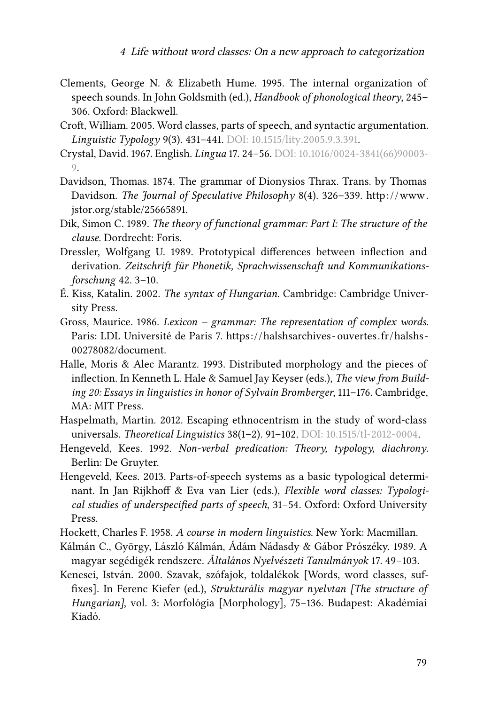- <span id="page-12-13"></span>Clements, George N. & Elizabeth Hume. 1995. The internal organization of speech sounds. In John Goldsmith (ed.), *Handbook of phonological theory*, 245– 306. Oxford: Blackwell.
- <span id="page-12-5"></span>Croft, William. 2005. Word classes, parts of speech, and syntactic argumentation. *Linguistic Typology* 9(3). 431–441. DOI: [10.1515/lity.2005.9.3.391.](https://doi.org/10.1515/lity.2005.9.3.391)
- <span id="page-12-2"></span>Crystal, David. 1967. English. *Lingua* 17. 24–56. DOI: [10.1016/0024-3841\(66\)90003-](https://doi.org/10.1016/0024-3841(66)90003-9) [9](https://doi.org/10.1016/0024-3841(66)90003-9).
- <span id="page-12-0"></span>Davidson, Thomas. 1874. The grammar of Dionysios Thrax. Trans. by Thomas Davidson. *The Journal of Speculative Philosophy* 8(4). 326-339. http://www. [jstor.org/stable/25665891](http://www.jstor.org/stable/25665891).
- <span id="page-12-3"></span>Dik, Simon C. 1989. *The theory of functional grammar: Part I: The structure of the clause*. Dordrecht: Foris.
- <span id="page-12-8"></span>Dressler, Wolfgang U. 1989. Prototypical differences between inflection and derivation. *Zeitschrift für Phonetik, Sprachwissenschaft und Kommunikationsforschung* 42. 3–10.
- <span id="page-12-14"></span>É. Kiss, Katalin. 2002. *The syntax of Hungarian*. Cambridge: Cambridge University Press.
- <span id="page-12-9"></span>Gross, Maurice. 1986. *Lexicon – grammar: The representation of complex words*. Paris: LDL Université de Paris 7. https://halshsarchives-ouvertes.fr/halshs-[00278082/document](https://halshsarchives-ouvertes.fr/halshs-00278082/document).
- <span id="page-12-7"></span>Halle, Moris & Alec Marantz. 1993. Distributed morphology and the pieces of inflection. In Kenneth L. Hale & Samuel Jay Keyser (eds.), *The view from Building 20: Essays in linguistics in honor of Sylvain Bromberger*, 111–176. Cambridge, MA: MIT Press.
- <span id="page-12-10"></span>Haspelmath, Martin. 2012. Escaping ethnocentrism in the study of word-class universals. *Theoretical Linguistics* 38(1–2). 91–102. DOI: [10.1515/tl-2012-0004.](https://doi.org/10.1515/tl-2012-0004)
- <span id="page-12-4"></span>Hengeveld, Kees. 1992. *Non-verbal predication: Theory, typology, diachrony*. Berlin: De Gruyter.
- <span id="page-12-6"></span>Hengeveld, Kees. 2013. Parts-of-speech systems as a basic typological determinant. In Jan Rijkhoff & Eva van Lier (eds.), *Flexible word classes: Typological studies of underspecified parts of speech*, 31–54. Oxford: Oxford University Press.
- <span id="page-12-1"></span>Hockett, Charles F. 1958. *A course in modern linguistics*. New York: Macmillan.
- <span id="page-12-11"></span>Kálmán C., György, László Kálmán, Ádám Nádasdy & Gábor Prószéky. 1989. A magyar segédigék rendszere. *Általános Nyelvészeti Tanulmányok* 17. 49–103.
- <span id="page-12-12"></span>Kenesei, István. 2000. Szavak, szófajok, toldalékok [Words, word classes, suffixes]. In Ferenc Kiefer (ed.), *Strukturális magyar nyelvtan [The structure of Hungarian]*, vol. 3: Morfológia [Morphology], 75–136. Budapest: Akadémiai Kiadó.